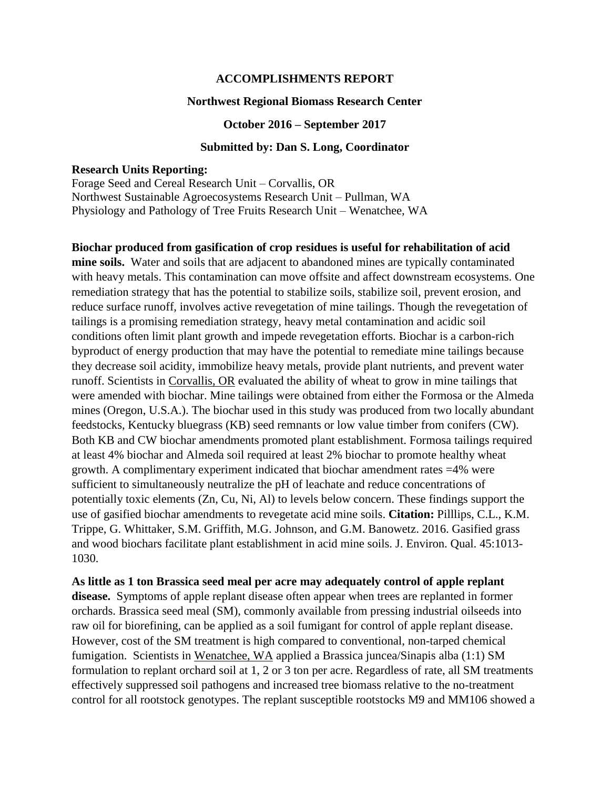## **ACCOMPLISHMENTS REPORT**

### **Northwest Regional Biomass Research Center**

#### **October 2016 – September 2017**

## **Submitted by: Dan S. Long, Coordinator**

# **Research Units Reporting:**

Forage Seed and Cereal Research Unit – Corvallis, OR Northwest Sustainable Agroecosystems Research Unit – Pullman, WA Physiology and Pathology of Tree Fruits Research Unit – Wenatchee, WA

**Biochar produced from gasification of crop residues is useful for rehabilitation of acid mine soils.** Water and soils that are adjacent to abandoned mines are typically contaminated with heavy metals. This contamination can move offsite and affect downstream ecosystems. One remediation strategy that has the potential to stabilize soils, stabilize soil, prevent erosion, and reduce surface runoff, involves active revegetation of mine tailings. Though the revegetation of tailings is a promising remediation strategy, heavy metal contamination and acidic soil conditions often limit plant growth and impede revegetation efforts. Biochar is a carbon-rich byproduct of energy production that may have the potential to remediate mine tailings because they decrease soil acidity, immobilize heavy metals, provide plant nutrients, and prevent water runoff. Scientists in Corvallis, OR evaluated the ability of wheat to grow in mine tailings that were amended with biochar. Mine tailings were obtained from either the Formosa or the Almeda mines (Oregon, U.S.A.). The biochar used in this study was produced from two locally abundant feedstocks, Kentucky bluegrass (KB) seed remnants or low value timber from conifers (CW). Both KB and CW biochar amendments promoted plant establishment. Formosa tailings required at least 4% biochar and Almeda soil required at least 2% biochar to promote healthy wheat growth. A complimentary experiment indicated that biochar amendment rates =4% were sufficient to simultaneously neutralize the pH of leachate and reduce concentrations of potentially toxic elements (Zn, Cu, Ni, Al) to levels below concern. These findings support the use of gasified biochar amendments to revegetate acid mine soils. **Citation:** Pilllips, C.L., K.M. Trippe, G. Whittaker, S.M. Griffith, M.G. Johnson, and G.M. Banowetz. 2016. Gasified grass and wood biochars facilitate plant establishment in acid mine soils. J. Environ. Qual. 45:1013- 1030.

**As little as 1 ton Brassica seed meal per acre may adequately control of apple replant disease.** Symptoms of apple replant disease often appear when trees are replanted in former orchards. Brassica seed meal (SM), commonly available from pressing industrial oilseeds into raw oil for biorefining, can be applied as a soil fumigant for control of apple replant disease. However, cost of the SM treatment is high compared to conventional, non-tarped chemical fumigation. Scientists in Wenatchee, WA applied a Brassica juncea/Sinapis alba (1:1) SM formulation to replant orchard soil at 1, 2 or 3 ton per acre. Regardless of rate, all SM treatments effectively suppressed soil pathogens and increased tree biomass relative to the no-treatment control for all rootstock genotypes. The replant susceptible rootstocks M9 and MM106 showed a